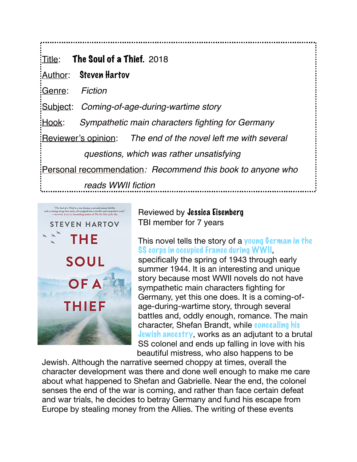$T$ Title: The Soul of a Thief. 2018 Author: Steven Hartov Genre: *Fiction* Subject: *Coming-of-age-during-wartime story* Hook: *Sympathetic main characters fighting for Germany* Reviewer's opinion: *The end of the novel left me with several questions, which was rather unsatisfying* Personal recommendation*: Recommend this book to anyone who reads WWII fiction*



Reviewed by Jessica Eisenberg TBI member for 7 years

## This novel tells the story of a young German in the SS corps in occupied France during WWII,

specifically the spring of 1943 through early summer 1944. It is an interesting and unique story because most WWII novels do not have sympathetic main characters fighting for Germany, yet this one does. It is a coming-ofage-during-wartime story, through several battles and, oddly enough, romance. The main character, Shefan Brandt, while concealing his Jewish ancestry, works as an adjutant to a brutal SS colonel and ends up falling in love with his beautiful mistress, who also happens to be

Jewish. Although the narrative seemed choppy at times, overall the character development was there and done well enough to make me care about what happened to Shefan and Gabrielle. Near the end, the colonel senses the end of the war is coming, and rather than face certain defeat and war trials, he decides to betray Germany and fund his escape from Europe by stealing money from the Allies. The writing of these events